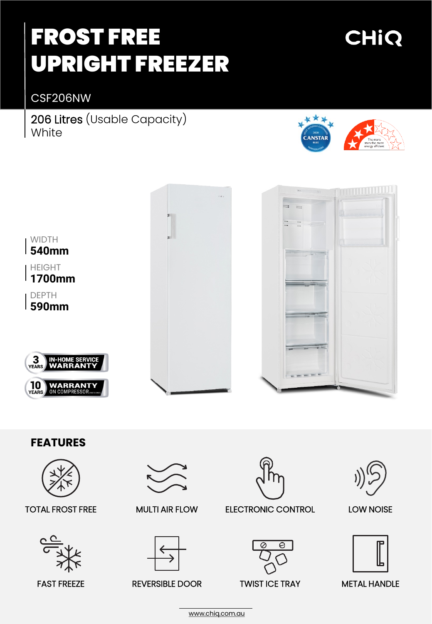# FROST FREE UPRIGHT FREEZER

## CHIQ

CSF206NW

206 Litres (Usable Capacity) **White** 





## **FEATURES**



### TOTAL FROST FREE



FAST FREEZE REVERSIBLE DOOR





MULTI AIR FLOW ELECTRONIC CONTROL







### LOW NOISE



METAL HANDLE

[www.chiq.com.au](http://www.chiq.com.au/)